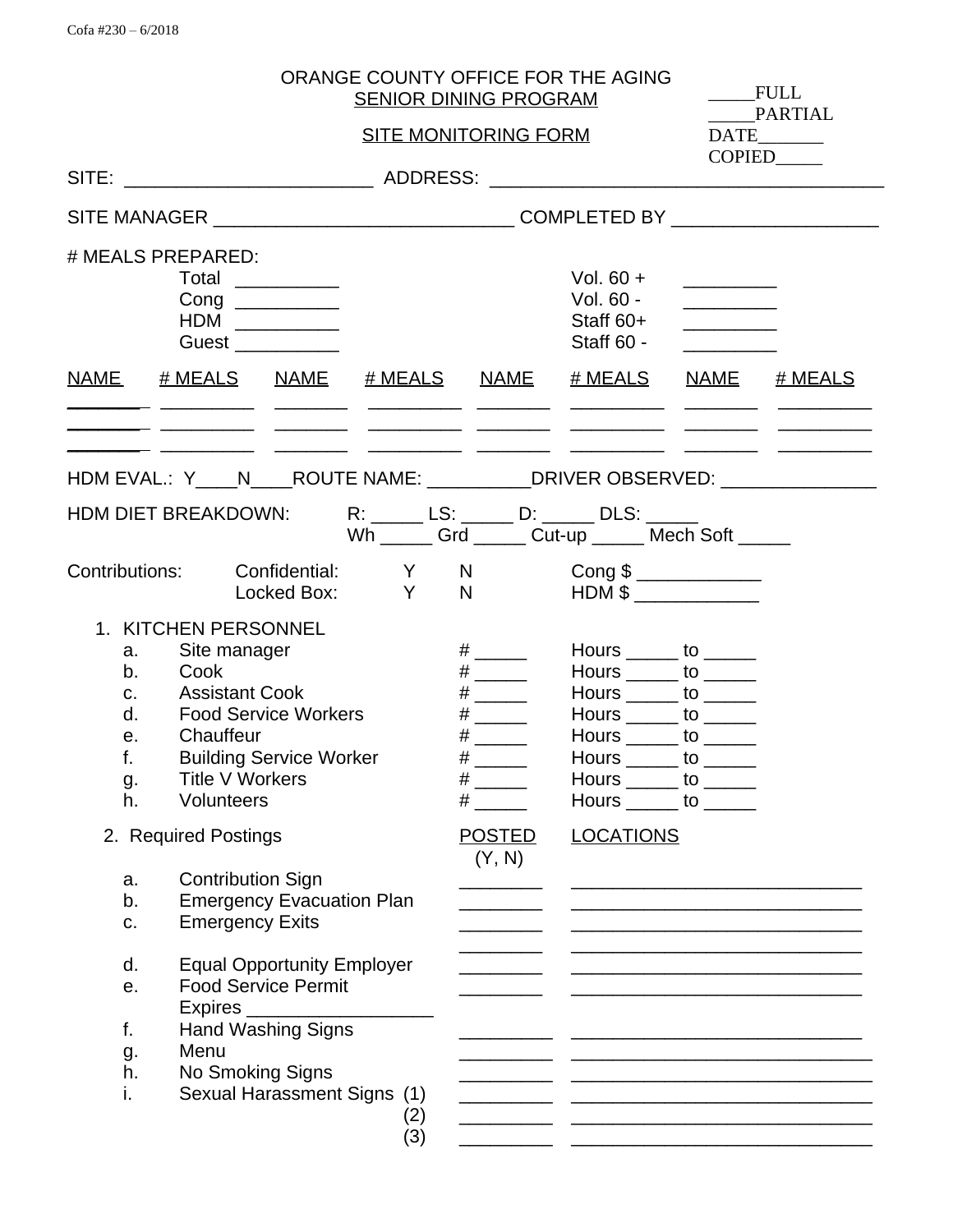|                                  |                                                                                                                                                       |                                                                 |            | <b>SENIOR DINING PROGRAM</b>                                 | ORANGE COUNTY OFFICE FOR THE AGING                                                                                                                                                                                                                                                                   |                                  | FULL                                                                                            |
|----------------------------------|-------------------------------------------------------------------------------------------------------------------------------------------------------|-----------------------------------------------------------------|------------|--------------------------------------------------------------|------------------------------------------------------------------------------------------------------------------------------------------------------------------------------------------------------------------------------------------------------------------------------------------------------|----------------------------------|-------------------------------------------------------------------------------------------------|
|                                  |                                                                                                                                                       |                                                                 |            | <b>SITE MONITORING FORM</b>                                  |                                                                                                                                                                                                                                                                                                      |                                  | PARTIAL                                                                                         |
|                                  |                                                                                                                                                       |                                                                 |            |                                                              |                                                                                                                                                                                                                                                                                                      |                                  | <b>COPIED</b>                                                                                   |
|                                  |                                                                                                                                                       |                                                                 |            |                                                              |                                                                                                                                                                                                                                                                                                      |                                  |                                                                                                 |
|                                  | # MEALS PREPARED:<br>Total<br>Guest __________                                                                                                        |                                                                 |            |                                                              | Vol. $60 +$<br>Vol. 60 -<br>Staff 60+<br>Staff 60 -                                                                                                                                                                                                                                                  | <u> 1999 - Johann Barnett, f</u> |                                                                                                 |
|                                  |                                                                                                                                                       |                                                                 |            |                                                              | NAME # MEALS NAME # MEALS NAME # MEALS NAME # MEALS<br>للمستحدث المستحقق المستحققات للمستحقق للمستحقق المستحقق المستحققات ليستحقق                                                                                                                                                                    |                                  |                                                                                                 |
|                                  |                                                                                                                                                       |                                                                 |            |                                                              | <u> 22 - Januari - Januari Amerikan Amerika (j. 1908)</u><br>HDM EVAL.: Y____N____ROUTE NAME: __________DRIVER OBSERVED: ____________________<br>HDM DIET BREAKDOWN: R: _____ LS: _____ D: _____ DLS: _____<br>Wh ______ Grd ______ Cut-up ______ Mech Soft _____                                    |                                  |                                                                                                 |
|                                  |                                                                                                                                                       |                                                                 |            | Locked Box: Y N                                              | Contributions: Confidential: Y N Cong \$<br>$HDM$ \$                                                                                                                                                                                                                                                 |                                  |                                                                                                 |
| a.<br>b.<br>d.<br>е.<br>g.<br>h. | 1. KITCHEN PERSONNEL<br>Site manager<br>Cook<br>c. Assistant Cook<br><b>Food Service Workers</b><br>Chauffeur<br><b>Title V Workers</b><br>Volunteers | <b>Building Service Worker</b>                                  |            | # $\qquad$<br># $\qquad$<br># $\qquad$<br>#<br>$\#$ and $\#$ | Hours $\_\_\_\_$ to $\_\_\_\_\_\_$<br>Hours $\_\_\_\_$ to $\_\_\_\_\_\_$<br>Hours $\_\_\_\_$ to $\_\_\_\_\_\_$<br>Hours $\rule{1em}{0.15mm}$ to $\rule{1.5mm}{0.15mm}$<br>Hours $\_\_\_\_$ to $\_\_\_\_\_\_$<br>Hours to<br>Hours $\_\_\_\_$ to $\_\_\_\_\_\_$<br>Hours $\_\_\_\_$ to $\_\_\_\_\_\_$ |                                  |                                                                                                 |
|                                  | 2. Required Postings                                                                                                                                  |                                                                 |            | <b>POSTED</b><br>(Y, N)                                      | <b>LOCATIONS</b>                                                                                                                                                                                                                                                                                     |                                  |                                                                                                 |
| a.<br>b.<br>c.                   | <b>Contribution Sign</b><br><b>Emergency Exits</b>                                                                                                    | <b>Emergency Evacuation Plan</b>                                |            |                                                              |                                                                                                                                                                                                                                                                                                      |                                  |                                                                                                 |
| d.<br>е.                         |                                                                                                                                                       | <b>Equal Opportunity Employer</b><br><b>Food Service Permit</b> |            |                                                              |                                                                                                                                                                                                                                                                                                      |                                  | the contract of the contract of the contract of the contract of the contract of the contract of |
| f.<br>g.<br>h.<br>i.             | Menu<br>No Smoking Signs                                                                                                                              | <b>Hand Washing Signs</b><br>Sexual Harassment Signs (1)        | (2)<br>(3) |                                                              |                                                                                                                                                                                                                                                                                                      |                                  |                                                                                                 |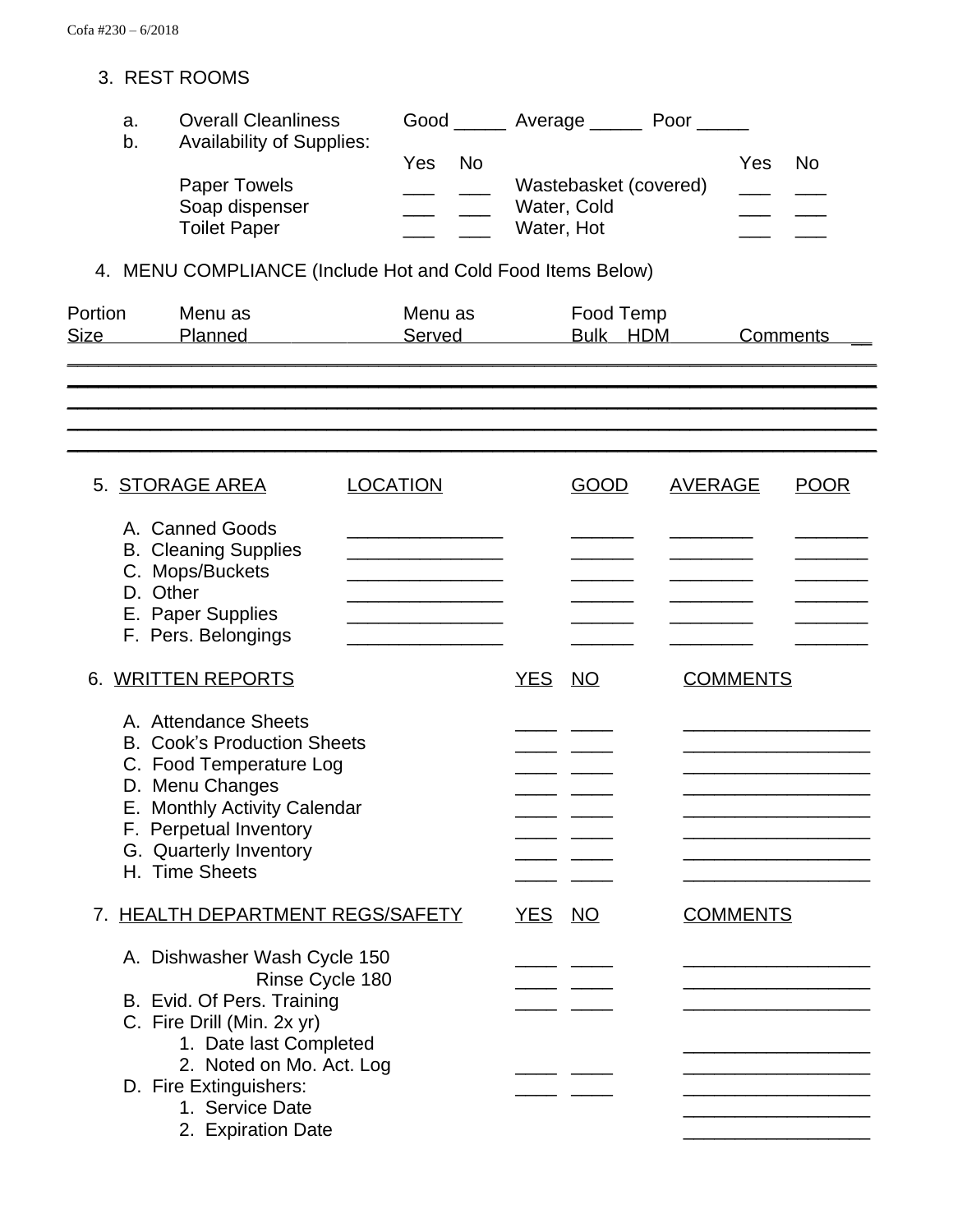### 3. REST ROOMS

| a. | <b>Overall Cleanliness</b>       | Good |    | Poor<br>Average       |     |    |
|----|----------------------------------|------|----|-----------------------|-----|----|
| b. | <b>Availability of Supplies:</b> | Yes  | No |                       | Yes | Nο |
|    |                                  |      |    |                       |     |    |
|    | <b>Paper Towels</b>              |      |    | Wastebasket (covered) |     |    |
|    | Soap dispenser                   |      |    | Water, Cold           |     |    |
|    | <b>Toilet Paper</b>              |      |    | Water, Hot            |     |    |

# 4. MENU COMPLIANCE (Include Hot and Cold Food Items Below)

| Portion<br><b>Size</b> | Menu as<br>Planned | Menu as<br>Served | Food Temp<br>HDM<br><b>Bulk</b> | Comments |
|------------------------|--------------------|-------------------|---------------------------------|----------|
|                        |                    |                   |                                 |          |

\_\_\_\_\_\_\_\_\_\_\_\_\_\_\_\_\_\_\_\_\_\_\_\_\_\_\_\_\_\_\_\_\_\_\_\_\_\_\_\_\_\_\_\_\_\_\_\_\_\_\_\_\_\_\_\_\_\_\_\_\_\_\_\_\_\_\_\_\_\_\_\_\_\_\_\_\_\_ \_\_\_\_\_\_\_\_\_\_\_\_\_\_\_\_\_\_\_\_\_\_\_\_\_\_\_\_\_\_\_\_\_\_\_\_\_\_\_\_\_\_\_\_\_\_\_\_\_\_\_\_\_\_\_\_\_\_\_\_\_\_\_\_\_\_\_\_\_\_\_\_\_\_\_\_\_\_ \_\_\_\_\_\_\_\_\_\_\_\_\_\_\_\_\_\_\_\_\_\_\_\_\_\_\_\_\_\_\_\_\_\_\_\_\_\_\_\_\_\_\_\_\_\_\_\_\_\_\_\_\_\_\_\_\_\_\_\_\_\_\_\_\_\_\_\_\_\_\_\_\_\_\_\_\_\_ \_\_\_\_\_\_\_\_\_\_\_\_\_\_\_\_\_\_\_\_\_\_\_\_\_\_\_\_\_\_\_\_\_\_\_\_\_\_\_\_\_\_\_\_\_\_\_\_\_\_\_\_\_\_\_\_\_\_\_\_\_\_\_\_\_\_\_\_\_\_\_\_\_\_\_\_\_\_

| 5. STORAGE AREA                                                                                                                                                                                                | <b>LOCATION</b> |            | GOOD      | <b>AVERAGE</b>  | <b>POOR</b> |
|----------------------------------------------------------------------------------------------------------------------------------------------------------------------------------------------------------------|-----------------|------------|-----------|-----------------|-------------|
| A. Canned Goods<br><b>B.</b> Cleaning Supplies<br>C. Mops/Buckets<br>D. Other<br>E. Paper Supplies<br>F. Pers. Belongings                                                                                      |                 |            |           |                 |             |
| 6. WRITTEN REPORTS                                                                                                                                                                                             |                 | YES NO     |           | <b>COMMENTS</b> |             |
| A. Attendance Sheets<br><b>B. Cook's Production Sheets</b><br>C. Food Temperature Log<br>D. Menu Changes<br>E. Monthly Activity Calendar<br>F. Perpetual Inventory<br>G. Quarterly Inventory<br>H. Time Sheets |                 |            |           |                 |             |
| <b>HEALTH DEPARTMENT REGS/SAFETY</b>                                                                                                                                                                           |                 | <u>YES</u> | <b>NO</b> | <b>COMMENTS</b> |             |
| A. Dishwasher Wash Cycle 150<br>Rinse Cycle 180<br>B. Evid. Of Pers. Training<br>C. Fire Drill (Min. 2x yr)<br>1. Date last Completed                                                                          |                 |            |           |                 |             |
| 2. Noted on Mo. Act. Log<br>D. Fire Extinguishers:<br>1. Service Date<br>2. Expiration Date                                                                                                                    |                 |            |           |                 |             |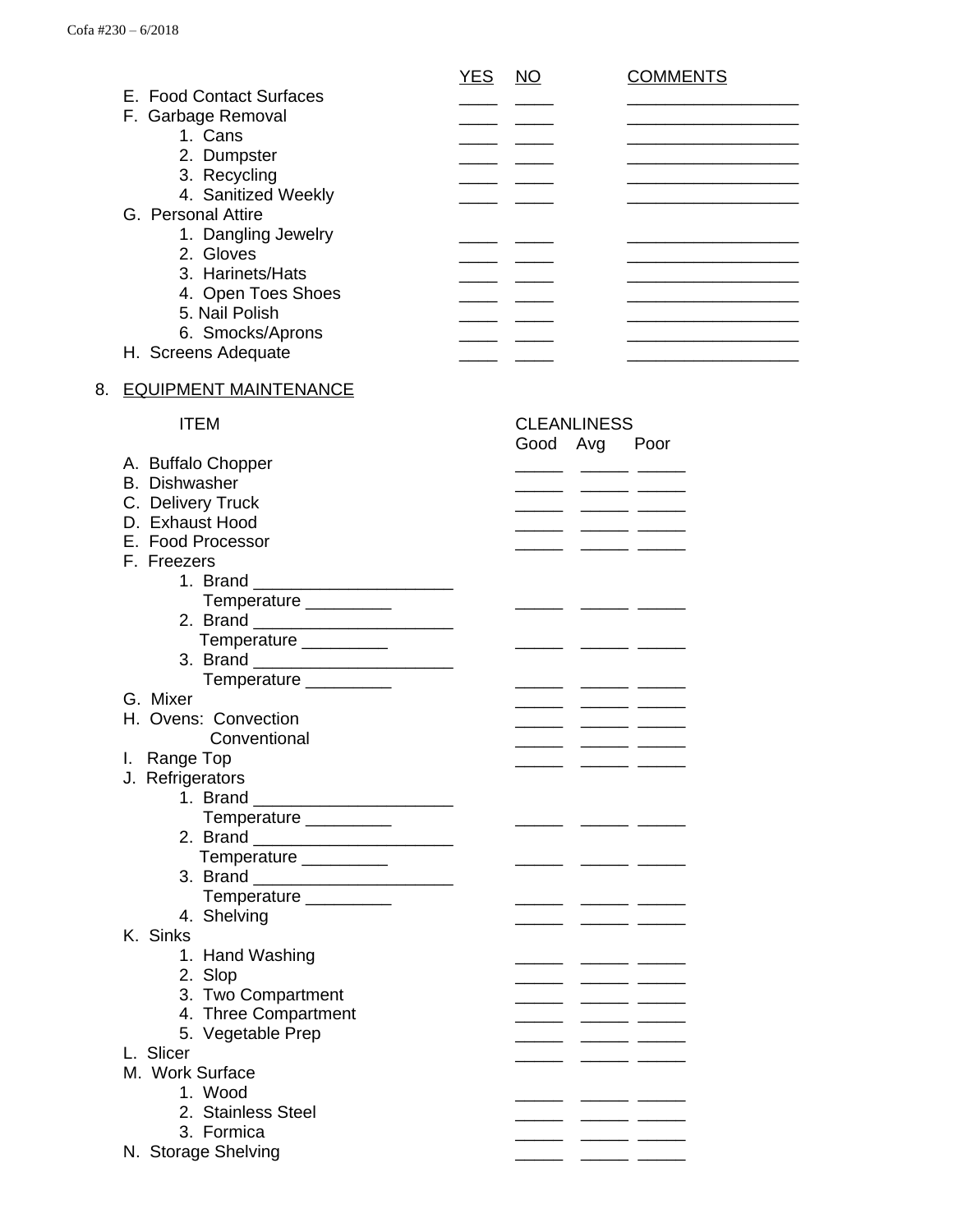|                          | <b>YES</b><br><b>NO</b> | COMMENTS |
|--------------------------|-------------------------|----------|
| E. Food Contact Surfaces |                         |          |
| F. Garbage Removal       |                         |          |
| 1. Cans                  |                         |          |
| 2. Dumpster              |                         |          |
| 3. Recycling             |                         |          |
| 4. Sanitized Weekly      |                         |          |
| G. Personal Attire       |                         |          |
| 1. Dangling Jewelry      |                         |          |
| 2. Gloves                |                         |          |
| 3. Harinets/Hats         |                         |          |
| 4. Open Toes Shoes       |                         |          |
| 5. Nail Polish           |                         |          |
| 6. Smocks/Aprons         |                         |          |
| H. Screens Adequate      |                         |          |

#### 8. EQUIPMENT MAINTENANCE

### Good Avg Poor A. Buffalo Chopper B. Dishwasher \_\_\_\_\_ \_\_\_\_\_ \_\_\_\_\_ C. Delivery Truck \_\_\_\_\_ \_\_\_\_\_ \_\_\_\_\_ D. Exhaust Hood \_\_\_\_\_\_\_ \_\_\_\_\_\_\_ \_\_\_\_\_\_ \_\_\_\_\_ \_\_\_\_\_ E. Food Processor **by the Contract Contract Contract Contract Contract Contract Contract Contract Contract Contract Contract Contract Contract Contract Contract Contract Contract Contract Contract Contract Contract Contrac** F. Freezers 1. Brand \_\_\_\_\_\_\_\_\_\_\_\_\_\_\_\_\_\_\_\_\_ Temperature \_\_\_\_\_\_\_\_\_ \_\_\_\_\_ \_\_\_\_\_ \_\_\_\_\_ 2. Brand \_\_\_\_\_\_\_\_\_\_\_\_\_\_\_\_\_\_\_\_\_ Temperature \_\_\_\_\_\_\_\_\_ \_\_\_\_\_ \_\_\_\_\_ \_\_\_\_\_ 3. Brand **and**  Temperature \_\_\_\_\_\_\_\_\_ \_\_\_\_\_ \_\_\_\_\_ \_\_\_\_\_ <u>G. Mixer and Stephen and Stephen and Stephen and Stephen and Stephen and Stephen and Stephen and Stephen and S</u> H. Ovens: Convection **by the Convection H. Convection**  Conventional \_\_\_\_\_ \_\_\_\_\_ \_\_\_\_\_ I. Range Top \_\_\_\_\_ \_\_\_\_\_ \_\_\_\_\_ J. Refrigerators 1. Brand Temperature \_\_\_\_\_\_\_\_\_ \_\_\_\_\_ \_\_\_\_\_ \_\_\_\_\_ 2. Brand  $\_$  Temperature \_\_\_\_\_\_\_\_\_ \_\_\_\_\_ \_\_\_\_\_ \_\_\_\_\_ 3. Brand \_\_\_\_\_\_\_\_\_\_\_\_\_\_\_\_\_\_\_\_\_ Temperature \_\_\_\_\_\_\_\_\_ \_\_\_\_\_ \_\_\_\_\_ \_\_\_\_\_ 4. Shelving <u>\_\_\_\_\_</u> \_\_\_\_\_ \_\_\_\_ K. Sinks 1. Hand Washing \_\_\_\_\_\_ \_\_\_\_\_\_\_ \_\_\_\_\_ \_\_\_\_ \_\_\_\_ \_\_\_ 2. Slop \_\_\_\_\_\_ \_\_\_\_\_\_ \_\_\_\_\_\_ \_\_\_\_\_ \_\_\_\_\_ \_\_\_\_\_ 3. Two Compartment \_\_\_\_\_ \_\_\_\_\_ \_\_\_\_\_ 4. Three Compartment \_\_\_\_\_ \_\_\_\_\_ \_\_\_\_\_ 5. Vegetable Prep \_\_\_\_\_ \_\_\_\_\_ \_\_\_\_\_ L. Slicer M. Work Surface 1. Wood \_\_\_\_\_ \_\_\_\_\_ \_\_\_\_\_ 2. Stainless Steel <u>\_\_\_\_\_</u> \_\_\_\_\_ \_\_\_\_\_ \_\_\_\_ 3. Formica \_\_\_\_\_ \_\_\_\_\_ \_\_\_\_\_ N. Storage Shelving

ITEM CLEANLINESS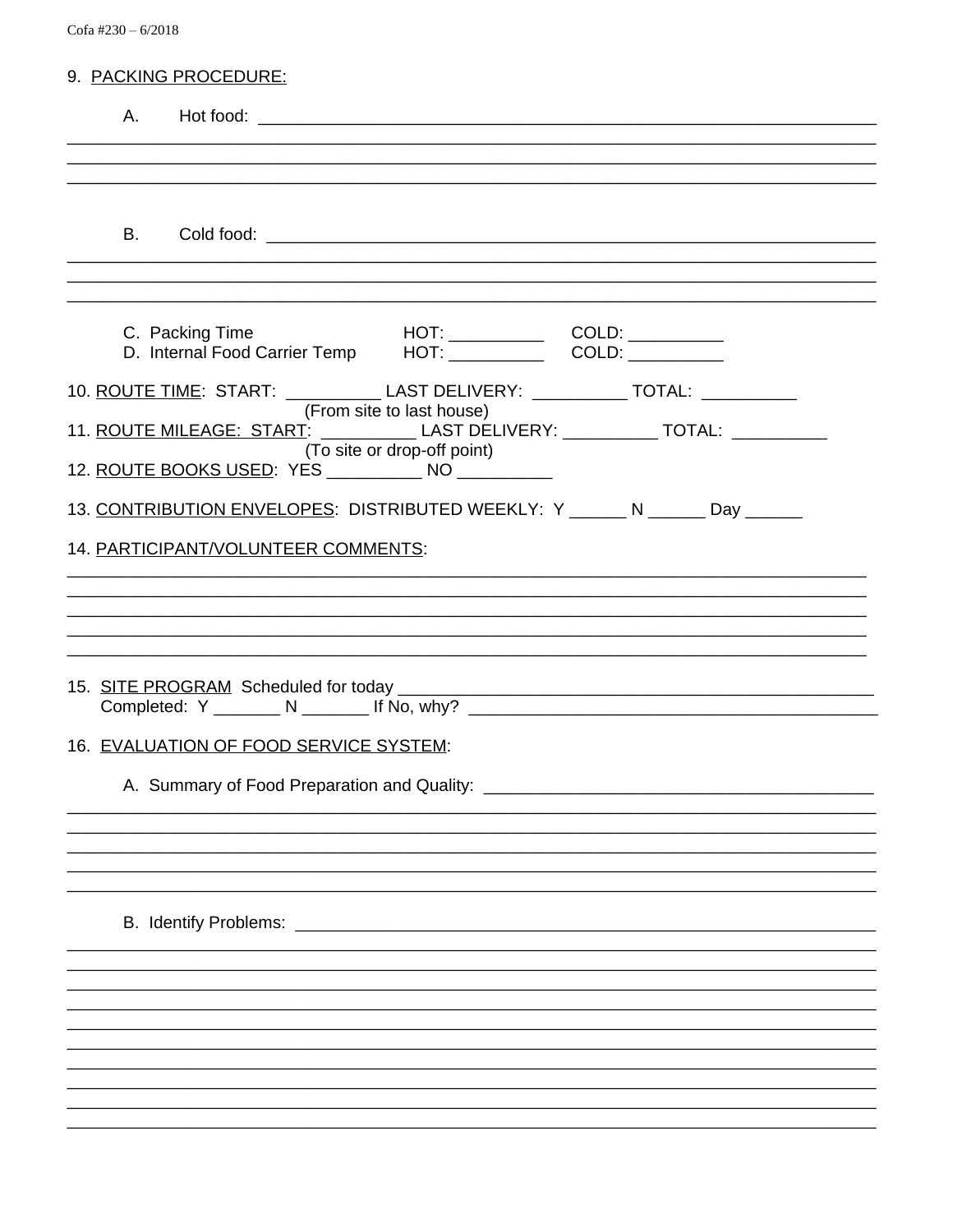Cofa #230 - 6/2018

| 9. PACKING PROCEDURE:                                                                                                                                                                                   |
|---------------------------------------------------------------------------------------------------------------------------------------------------------------------------------------------------------|
|                                                                                                                                                                                                         |
|                                                                                                                                                                                                         |
|                                                                                                                                                                                                         |
| C. Packing Time                                                                                                                                                                                         |
| 10. ROUTE TIME: START: _____________ LAST DELIVERY: ___________ TOTAL: _________                                                                                                                        |
| (From site to last house)<br>11. ROUTE MILEAGE: START: ____________ LAST DELIVERY: ___________ TOTAL: ________<br>(To site or drop-off point)<br>12. ROUTE BOOKS USED: YES _____________ NO ___________ |
|                                                                                                                                                                                                         |
| 13. CONTRIBUTION ENVELOPES: DISTRIBUTED WEEKLY: Y ______ N ______ Day ______                                                                                                                            |
| 14. PARTICIPANT/VOLUNTEER COMMENTS:                                                                                                                                                                     |
|                                                                                                                                                                                                         |
|                                                                                                                                                                                                         |
|                                                                                                                                                                                                         |
| 16. EVALUATION OF FOOD SERVICE SYSTEM:                                                                                                                                                                  |
|                                                                                                                                                                                                         |
|                                                                                                                                                                                                         |
|                                                                                                                                                                                                         |
|                                                                                                                                                                                                         |
|                                                                                                                                                                                                         |
|                                                                                                                                                                                                         |
|                                                                                                                                                                                                         |
|                                                                                                                                                                                                         |
|                                                                                                                                                                                                         |
|                                                                                                                                                                                                         |